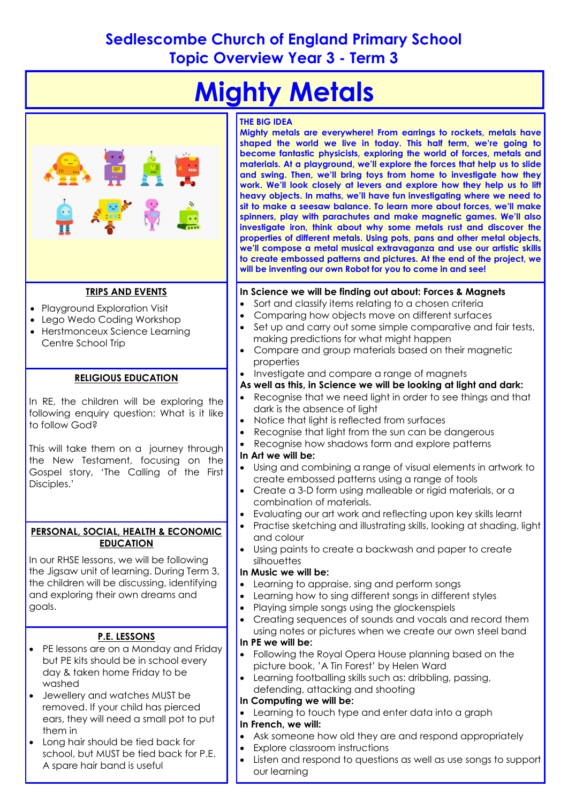# **Sedlescombe Church of England Primary School Topic Overview Year 3 - Term 3**



 Listen and respond to questions as well as use songs to support our learning school, but MUST be tied back for P.E. A spare hair band is useful